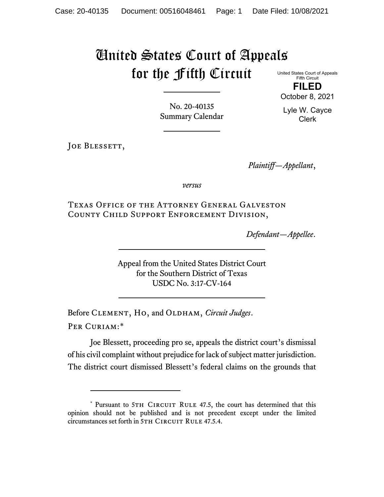## United States Court of Appeals for the Fifth Circuit

United States Court of Appeals Fifth Circuit **FILED**

October 8, 2021

Lyle W. Cayce Clerk

No. 20-40135 Summary Calendar

JOE BLESSETT,

*Plaintiff—Appellant*,

*versus*

Texas Office of the Attorney General Galveston County Child Support Enforcement Division,

*Defendant—Appellee*.

Appeal from the United States District Court for the Southern District of Texas USDC No. 3:17-CV-164

Before CLEMENT, HO, and OLDHAM, *Circuit Judges*. Per Curiam:[\\*](#page-0-0)

Joe Blessett, proceeding pro se, appeals the district court's dismissal of his civil complaint without prejudice for lack of subject matter jurisdiction. The district court dismissed Blessett's federal claims on the grounds that

<span id="page-0-0"></span><sup>\*</sup> Pursuant to 5TH CIRCUIT RULE 47.5, the court has determined that this opinion should not be published and is not precedent except under the limited circumstances set forth in 5TH CIRCUIT RULE 47.5.4.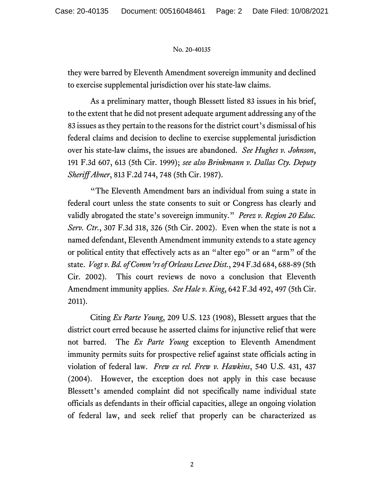## No. 20-40135

they were barred by Eleventh Amendment sovereign immunity and declined to exercise supplemental jurisdiction over his state-law claims.

As a preliminary matter, though Blessett listed 83 issues in his brief, to the extent that he did not present adequate argument addressing any of the 83 issues as they pertain to the reasons for the district court's dismissal of his federal claims and decision to decline to exercise supplemental jurisdiction over his state-law claims, the issues are abandoned. *See Hughes v. Johnson*, 191 F.3d 607, 613 (5th Cir. 1999); *see also Brinkmann v. Dallas Cty. Deputy Sheriff Abner*, 813 F.2d 744, 748 (5th Cir. 1987).

"The Eleventh Amendment bars an individual from suing a state in federal court unless the state consents to suit or Congress has clearly and validly abrogated the state's sovereign immunity." *Perez v. Region 20 Educ. Serv. Ctr.*, 307 F.3d 318, 326 (5th Cir. 2002). Even when the state is not a named defendant, Eleventh Amendment immunity extends to a state agency or political entity that effectively acts as an "alter ego" or an "arm" of the state. *Vogt v. Bd. of Comm'rs of Orleans Levee Dist.*, 294 F.3d 684, 688-89 (5th Cir. 2002). This court reviews de novo a conclusion that Eleventh Amendment immunity applies. *See Hale v. King*, 642 F.3d 492, 497 (5th Cir. 2011).

Citing *Ex Parte Young*, 209 U.S. 123 (1908), Blessett argues that the district court erred because he asserted claims for injunctive relief that were not barred. The *Ex Parte Young* exception to Eleventh Amendment immunity permits suits for prospective relief against state officials acting in violation of federal law. *Frew ex rel. Frew v. Hawkins*, 540 U.S. 431, 437 (2004). However, the exception does not apply in this case because Blessett's amended complaint did not specifically name individual state officials as defendants in their official capacities, allege an ongoing violation of federal law, and seek relief that properly can be characterized as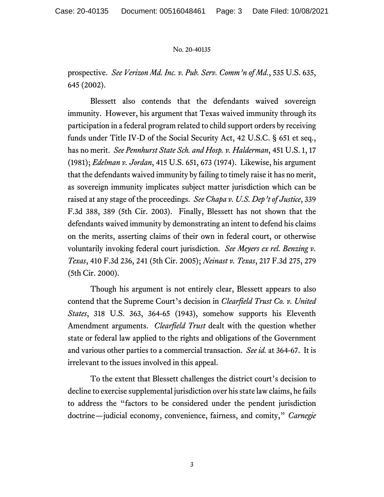## No. 20-40135

prospective. *See Verizon Md. Inc. v. Pub. Serv. Comm'n of Md*., 535 U.S. 635, 645 (2002).

Blessett also contends that the defendants waived sovereign immunity. However, his argument that Texas waived immunity through its participation in a federal program related to child support orders by receiving funds under Title IV-D of the Social Security Act, 42 U.S.C. § 651 et seq., has no merit. *See Pennhurst State Sch. and Hosp. v. Halderman*, 451 U.S. 1, 17 (1981); *Edelman v. Jordan*, 415 U.S. 651, 673 (1974). Likewise, his argument that the defendants waived immunity by failing to timely raise it has no merit, as sovereign immunity implicates subject matter jurisdiction which can be raised at any stage of the proceedings. *See Chapa v. U.S. Dep't of Justice*, 339 F.3d 388, 389 (5th Cir. 2003). Finally, Blessett has not shown that the defendants waived immunity by demonstrating an intent to defend his claims on the merits, asserting claims of their own in federal court, or otherwise voluntarily invoking federal court jurisdiction. *See Meyers ex rel. Benzing v. Texas*, 410 F.3d 236, 241 (5th Cir. 2005); *Neinast v. Texas*, 217 F.3d 275, 279 (5th Cir. 2000).

Though his argument is not entirely clear, Blessett appears to also contend that the Supreme Court's decision in *Clearfield Trust Co. v. United States*, 318 U.S. 363, 364-65 (1943), somehow supports his Eleventh Amendment arguments. *Clearfield Trust* dealt with the question whether state or federal law applied to the rights and obligations of the Government and various other parties to a commercial transaction. *See id.* at 364-67. It is irrelevant to the issues involved in this appeal.

To the extent that Blessett challenges the district court's decision to decline to exercise supplemental jurisdiction over his state law claims, he fails to address the "factors to be considered under the pendent jurisdiction doctrine—judicial economy, convenience, fairness, and comity," *Carnegie*